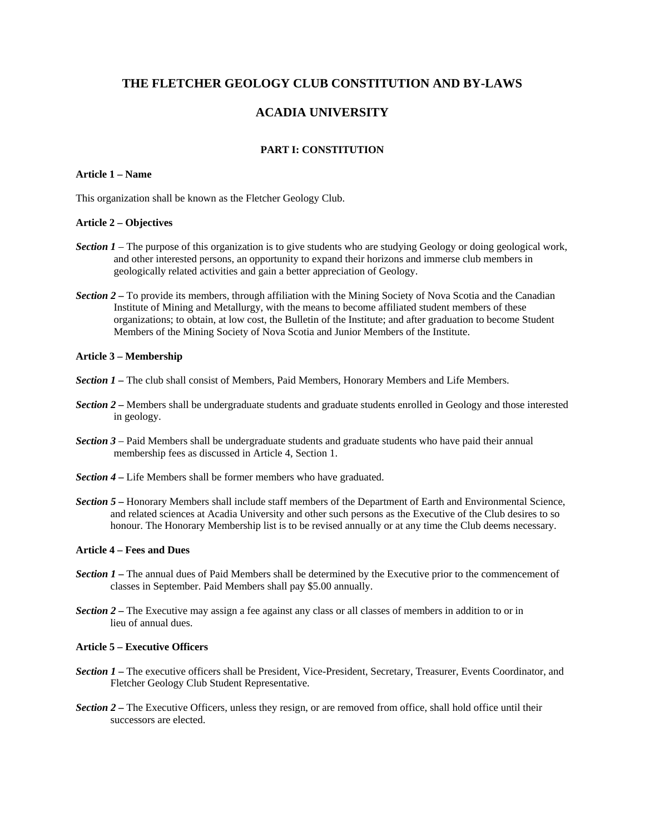## **THE FLETCHER GEOLOGY CLUB CONSTITUTION AND BY-LAWS**

# **ACADIA UNIVERSITY**

## **PART I: CONSTITUTION**

## **Article 1 – Name**

This organization shall be known as the Fletcher Geology Club.

## **Article 2 – Objectives**

- *Section 1*  The purpose of this organization is to give students who are studying Geology or doing geological work, and other interested persons, an opportunity to expand their horizons and immerse club members in geologically related activities and gain a better appreciation of Geology.
- *Section 2* To provide its members, through affiliation with the Mining Society of Nova Scotia and the Canadian Institute of Mining and Metallurgy, with the means to become affiliated student members of these organizations; to obtain, at low cost, the Bulletin of the Institute; and after graduation to become Student Members of the Mining Society of Nova Scotia and Junior Members of the Institute.

#### **Article 3 – Membership**

- *Section 1 –* The club shall consist of Members, Paid Members, Honorary Members and Life Members.
- *Section 2* Members shall be undergraduate students and graduate students enrolled in Geology and those interested in geology.
- *Section 3* Paid Members shall be undergraduate students and graduate students who have paid their annual membership fees as discussed in Article 4, Section 1.
- *Section 4* Life Members shall be former members who have graduated.
- *Section 5* Honorary Members shall include staff members of the Department of Earth and Environmental Science, and related sciences at Acadia University and other such persons as the Executive of the Club desires to so honour. The Honorary Membership list is to be revised annually or at any time the Club deems necessary.

### **Article 4 – Fees and Dues**

- *Section 1* The annual dues of Paid Members shall be determined by the Executive prior to the commencement of classes in September. Paid Members shall pay \$5.00 annually.
- *Section 2* The Executive may assign a fee against any class or all classes of members in addition to or in lieu of annual dues.

## **Article 5 – Executive Officers**

- *Section 1* The executive officers shall be President, Vice-President, Secretary, Treasurer, Events Coordinator, and Fletcher Geology Club Student Representative.
- *Section 2* The Executive Officers, unless they resign, or are removed from office, shall hold office until their successors are elected.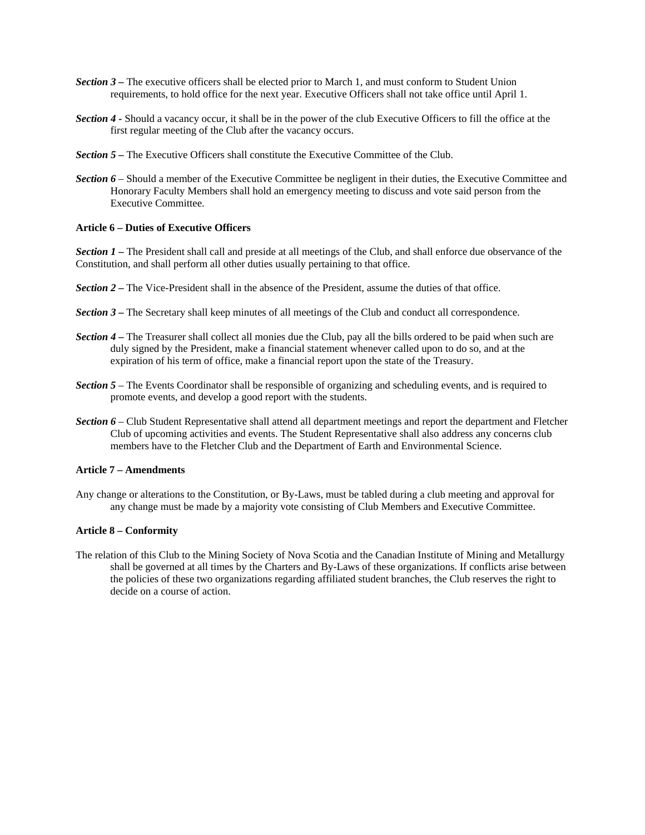- *Section 3* The executive officers shall be elected prior to March 1, and must conform to Student Union requirements, to hold office for the next year. Executive Officers shall not take office until April 1.
- *Section 4* Should a vacancy occur, it shall be in the power of the club Executive Officers to fill the office at the first regular meeting of the Club after the vacancy occurs.
- **Section 5** The Executive Officers shall constitute the Executive Committee of the Club.
- *Section 6* Should a member of the Executive Committee be negligent in their duties, the Executive Committee and Honorary Faculty Members shall hold an emergency meeting to discuss and vote said person from the Executive Committee.

#### **Article 6 – Duties of Executive Officers**

*Section 1 –* The President shall call and preside at all meetings of the Club, and shall enforce due observance of the Constitution, and shall perform all other duties usually pertaining to that office.

- *Section 2* The Vice-President shall in the absence of the President, assume the duties of that office.
- *Section 3* The Secretary shall keep minutes of all meetings of the Club and conduct all correspondence.
- *Section 4* The Treasurer shall collect all monies due the Club, pay all the bills ordered to be paid when such are duly signed by the President, make a financial statement whenever called upon to do so, and at the expiration of his term of office, make a financial report upon the state of the Treasury.
- *Section 5* The Events Coordinator shall be responsible of organizing and scheduling events, and is required to promote events, and develop a good report with the students.
- *Section 6* Club Student Representative shall attend all department meetings and report the department and Fletcher Club of upcoming activities and events. The Student Representative shall also address any concerns club members have to the Fletcher Club and the Department of Earth and Environmental Science.

## **Article 7 – Amendments**

Any change or alterations to the Constitution, or By-Laws, must be tabled during a club meeting and approval for any change must be made by a majority vote consisting of Club Members and Executive Committee.

#### **Article 8 – Conformity**

The relation of this Club to the Mining Society of Nova Scotia and the Canadian Institute of Mining and Metallurgy shall be governed at all times by the Charters and By-Laws of these organizations. If conflicts arise between the policies of these two organizations regarding affiliated student branches, the Club reserves the right to decide on a course of action.